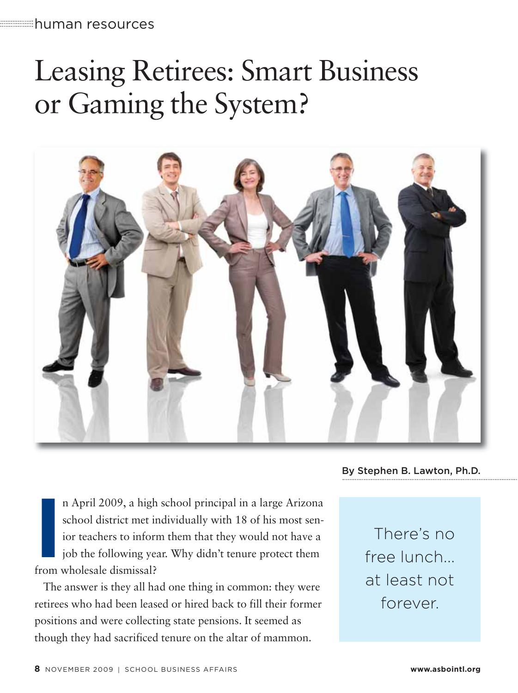# Leasing Retirees: Smart Business or Gaming the System?



By Stephen B. Lawton, Ph.D.

**II** April 2009, a high school district met in ior teachers to inform job the following ye from wholesale dismissal? n April 2009, a high school principal in a large Arizona school district met individually with 18 of his most senior teachers to inform them that they would not have a job the following year. Why didn't tenure protect them

The answer is they all had one thing in common: they were retirees who had been leased or hired back to fill their former positions and were collecting state pensions. It seemed as though they had sacrificed tenure on the altar of mammon.

There's no free lunch... at least not forever.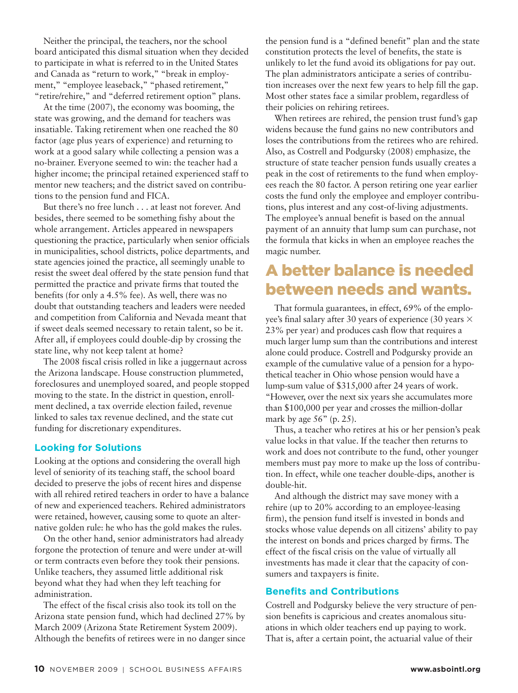Neither the principal, the teachers, nor the school board anticipated this dismal situation when they decided to participate in what is referred to in the United States and Canada as "return to work," "break in employment," "employee leaseback," "phased retirement," "retire/rehire," and "deferred retirement option" plans.

At the time (2007), the economy was booming, the state was growing, and the demand for teachers was insatiable. Taking retirement when one reached the 80 factor (age plus years of experience) and returning to work at a good salary while collecting a pension was a no-brainer. Everyone seemed to win: the teacher had a higher income; the principal retained experienced staff to mentor new teachers; and the district saved on contributions to the pension fund and FICA.

But there's no free lunch . . . at least not forever. And besides, there seemed to be something fishy about the whole arrangement. Articles appeared in newspapers questioning the practice, particularly when senior officials in municipalities, school districts, police departments, and state agencies joined the practice, all seemingly unable to resist the sweet deal offered by the state pension fund that permitted the practice and private firms that touted the benefits (for only a 4.5% fee). As well, there was no doubt that outstanding teachers and leaders were needed and competition from California and Nevada meant that if sweet deals seemed necessary to retain talent, so be it. After all, if employees could double-dip by crossing the state line, why not keep talent at home?

The 2008 fiscal crisis rolled in like a juggernaut across the Arizona landscape. House construction plummeted, foreclosures and unemployed soared, and people stopped moving to the state. In the district in question, enrollment declined, a tax override election failed, revenue linked to sales tax revenue declined, and the state cut funding for discretionary expenditures.

## **Looking for Solutions**

Looking at the options and considering the overall high level of seniority of its teaching staff, the school board decided to preserve the jobs of recent hires and dispense with all rehired retired teachers in order to have a balance of new and experienced teachers. Rehired administrators were retained, however, causing some to quote an alternative golden rule: he who has the gold makes the rules.

On the other hand, senior administrators had already forgone the protection of tenure and were under at-will or term contracts even before they took their pensions. Unlike teachers, they assumed little additional risk beyond what they had when they left teaching for administration.

The effect of the fiscal crisis also took its toll on the Arizona state pension fund, which had declined 27% by March 2009 (Arizona State Retirement System 2009). Although the benefits of retirees were in no danger since

the pension fund is a "defined benefit" plan and the state constitution protects the level of benefits, the state is unlikely to let the fund avoid its obligations for pay out. The plan administrators anticipate a series of contribution increases over the next few years to help fill the gap. Most other states face a similar problem, regardless of their policies on rehiring retirees.

When retirees are rehired, the pension trust fund's gap widens because the fund gains no new contributors and loses the contributions from the retirees who are rehired. Also, as Costrell and Podgursky (2008) emphasize, the structure of state teacher pension funds usually creates a peak in the cost of retirements to the fund when employees reach the 80 factor. A person retiring one year earlier costs the fund only the employee and employer contributions, plus interest and any cost-of-living adjustments. The employee's annual benefit is based on the annual payment of an annuity that lump sum can purchase, not the formula that kicks in when an employee reaches the magic number.

## A better balance is needed between needs and wants.

That formula guarantees, in effect, 69% of the employee's final salary after 30 years of experience (30 years  $\times$ 23% per year) and produces cash flow that requires a much larger lump sum than the contributions and interest alone could produce. Costrell and Podgursky provide an example of the cumulative value of a pension for a hypothetical teacher in Ohio whose pension would have a lump-sum value of \$315,000 after 24 years of work. "However, over the next six years she accumulates more than \$100,000 per year and crosses the million-dollar mark by age  $56"$  (p. 25).

Thus, a teacher who retires at his or her pension's peak value locks in that value. If the teacher then returns to work and does not contribute to the fund, other younger members must pay more to make up the loss of contribution. In effect, while one teacher double-dips, another is double-hit.

And although the district may save money with a rehire (up to 20% according to an employee-leasing firm), the pension fund itself is invested in bonds and stocks whose value depends on all citizens' ability to pay the interest on bonds and prices charged by firms. The effect of the fiscal crisis on the value of virtually all investments has made it clear that the capacity of consumers and taxpayers is finite.

## **Benefits and Contributions**

Costrell and Podgursky believe the very structure of pension benefits is capricious and creates anomalous situations in which older teachers end up paying to work. That is, after a certain point, the actuarial value of their